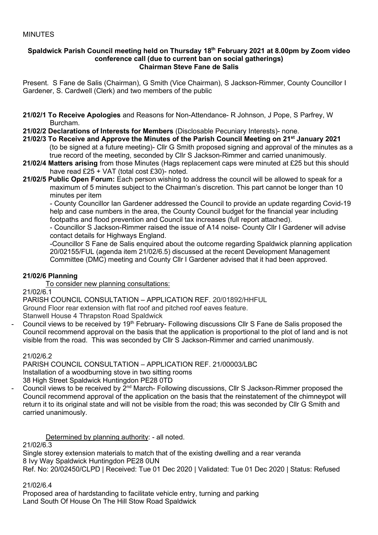### MINUTES

#### **Spaldwick Parish Council meeting held on Thursday 18th February 2021 at 8.00pm by Zoom video conference call (due to current ban on social gatherings) Chairman Steve Fane de Salis**

Present. S Fane de Salis (Chairman), G Smith (Vice Chairman), S Jackson-Rimmer, County Councillor I Gardener, S. Cardwell (Clerk) and two members of the public

- **21/02/1 To Receive Apologies** and Reasons for Non-Attendance- R Johnson, J Pope, S Parfrey, W Burcham.
- **21/02/2 Declarations of Interests for Members** (Disclosable Pecuniary Interests)- none.
- **21/02/3 To Receive and Approve the Minutes of the Parish Council Meeting on 21 st January 2021** (to be signed at a future meeting)- Cllr G Smith proposed signing and approval of the minutes as a true record of the meeting, seconded by Cllr S Jackson-Rimmer and carried unanimously.
- **21/02/4 Matters arising** from those Minutes (Hags replacement caps were minuted at £25 but this should have read £25 + VAT (total cost £30)- noted.
- **21/02/5 Public Open Forum:** Each person wishing to address the council will be allowed to speak for a maximum of 5 minutes subject to the Chairman's discretion. This part cannot be longer than 10 minutes per item

- County Councillor Ian Gardener addressed the Council to provide an update regarding Covid-19 help and case numbers in the area, the County Council budget for the financial year including footpaths and flood prevention and Council tax increases (full report attached).

- Councillor S Jackson-Rimmer raised the issue of A14 noise- County Cllr I Gardener will advise contact details for Highways England.

-Councillor S Fane de Salis enquired about the outcome regarding Spaldwick planning application 20/02155/FUL (agenda item 21/02/6.5) discussed at the recent Development Management Committee (DMC) meeting and County Cllr I Gardener advised that it had been approved.

### **21/02/6 Planning**

To consider new planning consultations:

 $21/02/6.1$ 

PARISH COUNCIL CONSULTATION – APPLICATION REF. 20/01892/HHFUL

Ground Floor rear extension with flat roof and pitched roof eaves feature.

Stanwell House 4 Thrapston Road Spaldwick

Council views to be received by 19<sup>th</sup> February- Following discussions Cllr S Fane de Salis proposed the Council recommend approval on the basis that the application is proportional to the plot of land and is not visible from the road. This was seconded by Cllr S Jackson-Rimmer and carried unanimously.

21/02/6.2

PARISH COUNCIL CONSULTATION – APPLICATION REF. 21/00003/LBC Installation of a woodburning stove in two sitting rooms

38 High Street Spaldwick Huntingdon PE28 0TD

Council views to be received by 2<sup>nd</sup> March- Following discussions, Cllr S Jackson-Rimmer proposed the Council recommend approval of the application on the basis that the reinstatement of the chimneypot will return it to its original state and will not be visible from the road; this was seconded by Cllr G Smith and carried unanimously.

Determined by planning authority: - all noted.

 $21/02/6.3$ 

Single storey extension materials to match that of the existing dwelling and a rear veranda 8 Ivy Way Spaldwick Huntingdon PE28 0UN Ref. No: 20/02450/CLPD | Received: Tue 01 Dec 2020 | Validated: Tue 01 Dec 2020 | Status: Refused

21/02/6.4

Proposed area of hardstanding to facilitate vehicle entry, turning and parking Land South Of House On The Hill Stow Road Spaldwick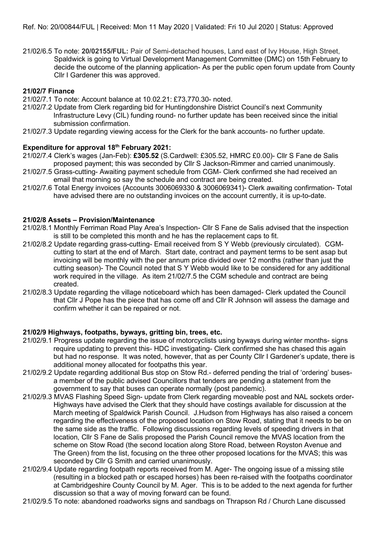21/02/6.5 To note: **20/02155/FUL:** Pair of Semi-detached houses, Land east of Ivy House, High Street, Spaldwick is going to Virtual Development Management Committee (DMC) on 15th February to decide the outcome of the planning application- As per the public open forum update from County Cllr I Gardener this was approved.

# **21/02/7 Finance**

- 21/02/7.1 To note: Account balance at 10.02.21: £73,770.30- noted.
- 21/02/7.2 Update from Clerk regarding bid for Huntingdonshire District Council's next Community Infrastructure Levy (CIL) funding round- no further update has been received since the initial submission confirmation.
- 21/02/7.3 Update regarding viewing access for the Clerk for the bank accounts- no further update.

### **Expenditure for approval 18th February 2021:**

- 21/02/7.4 Clerk's wages (Jan-Feb): **£305.52** (S.Cardwell: £305.52, HMRC £0.00)- Cllr S Fane de Salis proposed payment; this was seconded by Cllr S Jackson-Rimmer and carried unanimously.
- 21/02/7.5 Grass-cutting- Awaiting payment schedule from CGM- Clerk confirmed she had received an email that morning so say the schedule and contract are being created.
- 21/02/7.6 Total Energy invoices (Accounts 3006069330 & 3006069341)- Clerk awaiting confirmation- Total have advised there are no outstanding invoices on the account currently, it is up-to-date.

# **21/02/8 Assets – Provision/Maintenance**

- 21/02/8.1 Monthly Ferriman Road Play Area's Inspection- Cllr S Fane de Salis advised that the inspection is still to be completed this month and he has the replacement caps to fit.
- 21/02/8.2 Update regarding grass-cutting- Email received from S Y Webb (previously circulated). CGM cutting to start at the end of March. Start date, contract and payment terms to be sent asap but invoicing will be monthly with the per annum price divided over 12 months (rather than just the cutting season)- The Council noted that S Y Webb would like to be considered for any additional work required in the village. As item 21/02/7.5 the CGM schedule and contract are being created.
- 21/02/8.3 Update regarding the village noticeboard which has been damaged- Clerk updated the Council that Cllr J Pope has the piece that has come off and Cllr R Johnson will assess the damage and confirm whether it can be repaired or not.

### **21/02/9 Highways, footpaths, byways, gritting bin, trees, etc.**

- 21/02/9.1 Progress update regarding the issue of motorcyclists using byways during winter months- signs require updating to prevent this- HDC investigating- Clerk confirmed she has chased this again but had no response. It was noted, however, that as per County Cllr I Gardener's update, there is additional money allocated for footpaths this year.
- 21/02/9.2 Update regarding additional Bus stop on Stow Rd.- deferred pending the trial of 'ordering' buses a member of the public advised Councillors that tenders are pending a statement from the government to say that buses can operate normally (post pandemic).
- 21/02/9.3 MVAS Flashing Speed Sign- update from Clerk regarding moveable post and NAL sockets order- Highways have advised the Clerk that they should have costings available for discussion at the March meeting of Spaldwick Parish Council. J.Hudson from Highways has also raised a concern regarding the effectiveness of the proposed location on Stow Road, stating that it needs to be on the same side as the traffic. Following discussions regarding levels of speeding drivers in that location, Cllr S Fane de Salis proposed the Parish Council remove the MVAS location from the scheme on Stow Road (the second location along Store Road, between Royston Avenue and The Green) from the list, focusing on the three other proposed locations for the MVAS; this was seconded by Cllr G Smith and carried unanimously.
- 21/02/9.4 Update regarding footpath reports received from M. Ager- The ongoing issue of a missing stile (resulting in a blocked path or escaped horses) has been re-raised with the footpaths coordinator at Cambridgeshire County Council by M. Ager. This is to be added to the next agenda for further discussion so that a way of moving forward can be found.
- 21/02/9.5 To note: abandoned roadworks signs and sandbags on Thrapson Rd / Church Lane discussed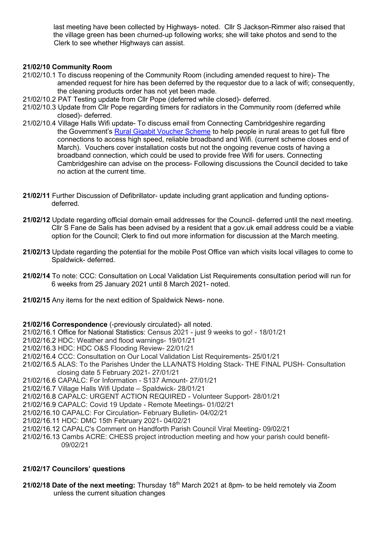last meeting have been collected by Highways- noted. Cllr S Jackson-Rimmer also raised that the village green has been churned-up following works; she will take photos and send to the Clerk to see whether Highways can assist.

# **21/02/10 Community Room**

- 21/02/10.1 To discuss reopening of the Community Room (including amended request to hire)- The amended request for hire has been deferred by the requestor due to a lack of wifi; consequently, the cleaning products order has not yet been made.
- 21/02/10.2 PAT Testing update from Cllr Pope (deferred while closed)- deferred.
- 21/02/10.3 Update from Cllr Pope regarding timers for radiators in the Community room (deferred while closed)- deferred.
- 21/02/10.4 Village Halls Wifi update- To discuss email from Connecting Cambridgeshire regarding the Government's [Rural Gigabit Voucher Scheme](https://gigabitvoucher.culture.gov.uk/) to help people in rural areas to get full fibre connections to access high speed, reliable broadband and Wifi. (current scheme closes end of March). Vouchers cover installation costs but not the ongoing revenue costs of having a broadband connection, which could be used to provide free Wifi for users. Connecting Cambridgeshire can advise on the process- Following discussions the Council decided to take no action at the current time.
- **21/02/11** Further Discussion of Defibrillator- update including grant application and funding options deferred.
- **21/02/12** Update regarding official domain email addresses for the Council- deferred until the next meeting. Cllr S Fane de Salis has been advised by a resident that a gov.uk email address could be a viable option for the Council; Clerk to find out more information for discussion at the March meeting.
- **21/02/13** Update regarding the potential for the mobile Post Office van which visits local villages to come to Spaldwick- deferred.
- **21/02/14** To note: CCC: Consultation on Local Validation List Requirements consultation period will run for 6 weeks from 25 January 2021 until 8 March 2021- noted.
- **21/02/15** Any items for the next edition of Spaldwick News- none.

### **21/02/16 Correspondence** (-previously circulated)- all noted.

- 21/02/16.1 Office for National Statistics: Census 2021 just 9 weeks to go! 18/01/21
- 21/02/16.2 HDC: Weather and flood warnings- 19/01/21
- 21/02/16.3 HDC: HDC O&S Flooding Review- 22/01/21
- 21/02/16.4 CCC: Consultation on Our Local Validation List Requirements- 25/01/21
- 21/02/16.5 ALAS: To the Parishes Under the LLA/NATS Holding Stack- THE FINAL PUSH- Consultation closing date 5 February 2021- 27/01/21
- 21/02/16.6 CAPALC: For Information S137 Amount- 27/01/21
- 21/02/16.7 Village Halls Wifi Update Spaldwick- 28/01/21
- 21/02/16.8 CAPALC: URGENT ACTION REQUIRED Volunteer Support- 28/01/21
- 21/02/16.9 CAPALC: Covid 19 Update Remote Meetings- 01/02/21
- 21/02/16.10 CAPALC: For Circulation- February Bulletin- 04/02/21
- 21/02/16.11 HDC: DMC 15th February 2021- 04/02/21
- 21/02/16.12 CAPALC's Comment on Handforth Parish Council Viral Meeting- 09/02/21
- 21/02/16.13 Cambs ACRE: CHESS project introduction meeting and how your parish could benefit- 09/02/21

### **21/02/17 Councilors' questions**

**21/02/18 Date of the next meeting:** Thursday 18th March 2021 at 8pm- to be held remotely via Zoom unless the current situation changes